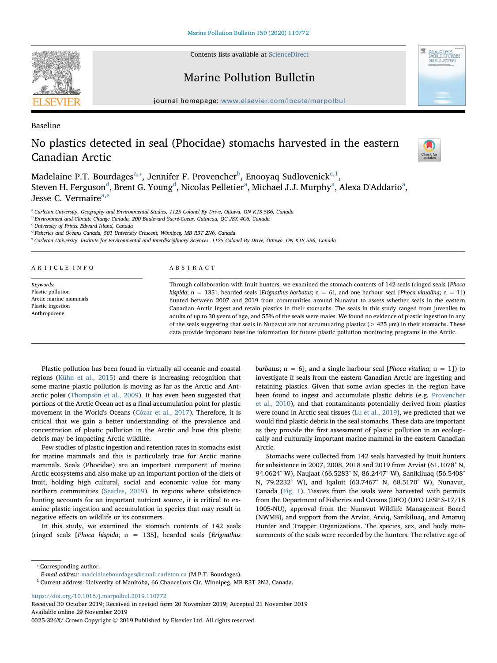Contents lists available at [ScienceDirect](http://www.sciencedirect.com/science/journal/0025326X)



Marine Pollution Bulletin



journal homepage: [www.elsevier.com/locate/marpolbul](https://www.elsevier.com/locate/marpolbul)

Baseline

# No plastics detected in seal (Phocidae) stomachs harvested in the eastern Canadian Arctic



M[a](#page-0-0)delaine P.T. Bourdages $^{\mathrm{a},*}$ , Jennifer F. Proven[c](#page-0-3)her $^{\mathrm{b}}$  $^{\mathrm{b}}$  $^{\mathrm{b}}$ , Enooyaq Sudlovenick $^{\mathrm{c},1}$  $^{\mathrm{c},1}$  $^{\mathrm{c},1}$ , Steven H. Ferguson<sup>[d](#page-0-5)</sup>, Brent G. Young<sup>d</sup>, Nicol[a](#page-0-0)s Pelletier<sup>a</sup>, Michael J.J. Murphy<sup>a</sup>, Alexa D'Addario<sup>a</sup>, Jesse C. Verm[a](#page-0-0)ir[e](#page-0-6)<sup>a,e</sup>

<span id="page-0-0"></span>a Carleton University, Geography and Environmental Studies, 1125 Colonel By Drive, Ottawa, ON K1S 5B6, Canada

<span id="page-0-2"></span><sup>b</sup> Environment and Climate Change Canada, 200 Boulevard Sacré-Coeur, Gatineau, QC J8X 4C6, Canada

<span id="page-0-3"></span><sup>c</sup> University of Prince Edward Island, Canada

<span id="page-0-5"></span><sup>d</sup> Fisheries and Oceans Canada, 501 University Crescent, Winnipeg, MB R3T 2N6, Canada

<span id="page-0-6"></span><sup>e</sup> Carleton University, Institute for Environmental and Interdisciplinary Sciences, 1125 Colonel By Drive, Ottawa, ON K1S 5B6, Canada

| ARTICLE INFO                      | ABSTRACT                                                                                                                                                                                                                                                                                                                                                |  |  |  |  |  |
|-----------------------------------|---------------------------------------------------------------------------------------------------------------------------------------------------------------------------------------------------------------------------------------------------------------------------------------------------------------------------------------------------------|--|--|--|--|--|
| Keywords:                         | Through collaboration with Inuit hunters, we examined the stomach contents of 142 seals (ringed seals [ <i>Phoca</i> ]<br>hispida; $n = 135$ ], bearded seals [Erignathus barbatus; $n = 6$ ], and one harbour seal [Phoca vitualina; $n = 1$ ])<br>hunted between 2007 and 2019 from communities around Nunavut to assess whether seals in the eastern |  |  |  |  |  |
| Plastic pollution                 |                                                                                                                                                                                                                                                                                                                                                         |  |  |  |  |  |
| Arctic marine mammals             |                                                                                                                                                                                                                                                                                                                                                         |  |  |  |  |  |
| Plastic ingestion<br>Anthropocene | Canadian Arctic ingest and retain plastics in their stomachs. The seals in this study ranged from juveniles to<br>adults of up to 30 years of age, and 55% of the seals were males. We found no evidence of plastic ingestion in any                                                                                                                    |  |  |  |  |  |
|                                   | of the seals suggesting that seals in Nunavut are not accumulating plastics ( $>$ 425 $\mu$ m) in their stomachs. These                                                                                                                                                                                                                                 |  |  |  |  |  |
|                                   | data provide important baseline information for future plastic pollution monitoring programs in the Arctic.                                                                                                                                                                                                                                             |  |  |  |  |  |

Plastic pollution has been found in virtually all oceanic and coastal regions [\(Kühn et al., 2015\)](#page-3-0) and there is increasing recognition that some marine plastic pollution is moving as far as the Arctic and Antarctic poles ([Thompson et al., 2009](#page-4-0)). It has even been suggested that portions of the Arctic Ocean act as a final accumulation point for plastic movement in the World's Oceans [\(Cózar et al., 2017](#page-3-1)). Therefore, it is critical that we gain a better understanding of the prevalence and concentration of plastic pollution in the Arctic and how this plastic debris may be impacting Arctic wildlife.

Few studies of plastic ingestion and retention rates in stomachs exist for marine mammals and this is particularly true for Arctic marine mammals. Seals (Phocidae) are an important component of marine Arctic ecosystems and also make up an important portion of the diets of Inuit, holding high cultural, social and economic value for many northern communities ([Searles, 2019](#page-4-1)). In regions where subsistence hunting accounts for an important nutrient source, it is critical to examine plastic ingestion and accumulation in species that may result in negative effects on wildlife or its consumers.

In this study, we examined the stomach contents of 142 seals (ringed seals [*Phoca hispida*;  $n = 135$ ], bearded seals [*Erignathus*  barbatus;  $n = 6$ ], and a single harbour seal [*Phoca vitulina*;  $n = 1$ ]) to investigate if seals from the eastern Canadian Arctic are ingesting and retaining plastics. Given that some avian species in the region have been found to ingest and accumulate plastic debris (e.g. [Provencher](#page-4-2) [et al., 2010](#page-4-2)), and that contaminants potentially derived from plastics were found in Arctic seal tissues [\(Lu et al., 2019\)](#page-4-3), we predicted that we would find plastic debris in the seal stomachs. These data are important as they provide the first assessment of plastic pollution in an ecologically and culturally important marine mammal in the eastern Canadian Arctic.

Stomachs were collected from 142 seals harvested by Inuit hunters for subsistence in 2007, 2008, 2018 and 2019 from Arviat (61.1078° N, 94.0624° W), Naujaat (66.5283° N, 86.2447° W), Sanikiluaq (56.5408° N, 79.2232° W), and Iqaluit (63.7467° N, 68.5170° W), Nunavut, Canada [\(Fig. 1](#page-1-0)). Tissues from the seals were harvested with permits from the Department of Fisheries and Oceans (DFO) (DFO LFSP S-17/18 1005-NU), approval from the Nunavut Wildlife Management Board (NWMB), and support from the Arviat, Arviq, Sanikiluaq, and Amaruq Hunter and Trapper Organizations. The species, sex, and body measurements of the seals were recorded by the hunters. The relative age of

<span id="page-0-1"></span>⁎ Corresponding author.

<https://doi.org/10.1016/j.marpolbul.2019.110772>

Received 30 October 2019; Received in revised form 20 November 2019; Accepted 21 November 2019 Available online 29 November 2019

E-mail address: [madelainebourdages@cmail.carleton.ca](mailto:madelainebourdages@cmail.carleton.ca) (M.P.T. Bourdages).

<span id="page-0-4"></span> $1$  Current address: University of Manitoba, 66 Chancellors Cir, Winnipeg, MB R3T 2N2, Canada.

<sup>0025-326</sup>X/ Crown Copyright © 2019 Published by Elsevier Ltd. All rights reserved.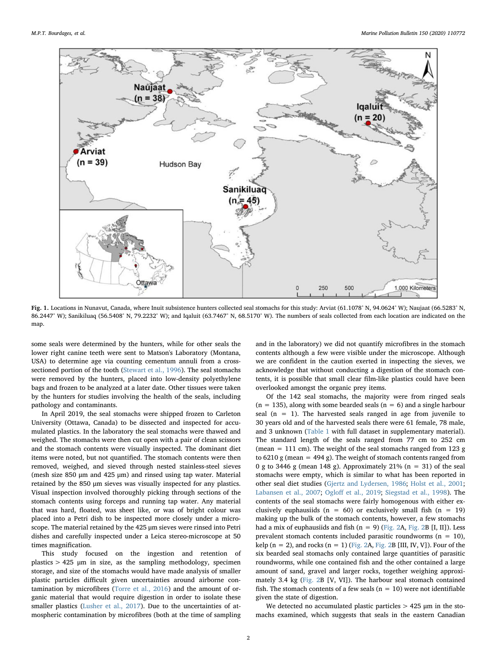<span id="page-1-0"></span>

Fig. 1. Locations in Nunavut, Canada, where Inuit subsistence hunters collected seal stomachs for this study: Arviat (61.1078° N, 94.0624° W); Naujaat (66.5283° N, 86.2447° W); Sanikiluaq (56.5408° N, 79.2232° W); and Iqaluit (63.7467° N, 68.5170° W). The numbers of seals collected from each location are indicated on the map.

some seals were determined by the hunters, while for other seals the lower right canine teeth were sent to Matson's Laboratory (Montana, USA) to determine age via counting cementum annuli from a crosssectioned portion of the tooth [\(Stewart et al., 1996](#page-4-4)). The seal stomachs were removed by the hunters, placed into low-density polyethylene bags and frozen to be analyzed at a later date. Other tissues were taken by the hunters for studies involving the health of the seals, including pathology and contaminants.

In April 2019, the seal stomachs were shipped frozen to Carleton University (Ottawa, Canada) to be dissected and inspected for accumulated plastics. In the laboratory the seal stomachs were thawed and weighed. The stomachs were then cut open with a pair of clean scissors and the stomach contents were visually inspected. The dominant diet items were noted, but not quantified. The stomach contents were then removed, weighed, and sieved through nested stainless-steel sieves (mesh size 850 μm and 425 μm) and rinsed using tap water. Material retained by the 850 μm sieves was visually inspected for any plastics. Visual inspection involved thoroughly picking through sections of the stomach contents using forceps and running tap water. Any material that was hard, floated, was sheet like, or was of bright colour was placed into a Petri dish to be inspected more closely under a microscope. The material retained by the 425 μm sieves were rinsed into Petri dishes and carefully inspected under a Leica stereo-microscope at 50 times magnification.

This study focused on the ingestion and retention of plastics > 425 μm in size, as the sampling methodology, specimen storage, and size of the stomachs would have made analysis of smaller plastic particles difficult given uncertainties around airborne contamination by microfibres [\(Torre et al., 2016\)](#page-4-5) and the amount of organic material that would require digestion in order to isolate these smaller plastics [\(Lusher et al., 2017\)](#page-4-6). Due to the uncertainties of atmospheric contamination by microfibres (both at the time of sampling

and in the laboratory) we did not quantify microfibres in the stomach contents although a few were visible under the microscope. Although we are confident in the caution exerted in inspecting the sieves, we acknowledge that without conducting a digestion of the stomach contents, it is possible that small clear film-like plastics could have been overlooked amongst the organic prey items.

Of the 142 seal stomachs, the majority were from ringed seals  $(n = 135)$ , along with some bearded seals  $(n = 6)$  and a single harbour seal  $(n = 1)$ . The harvested seals ranged in age from juvenile to 30 years old and of the harvested seals there were 61 female, 78 male, and 3 unknown [\(Table 1](#page-2-0) with full dataset in supplementary material). The standard length of the seals ranged from 77 cm to 252 cm (mean  $= 111$  cm). The weight of the seal stomachs ranged from 123 g to  $6210 \text{ g}$  (mean = 494 g). The weight of stomach contents ranged from 0 g to 3446 g (mean 148 g). Approximately 21%  $(n = 31)$  of the seal stomachs were empty, which is similar to what has been reported in other seal diet studies ([Gjertz and Lydersen, 1986](#page-3-2); [Holst et al., 2001](#page-3-3); [Labansen et al., 2007](#page-3-4); Ogloff [et al., 2019;](#page-4-7) [Siegstad et al., 1998](#page-4-8)). The contents of the seal stomachs were fairly homogenous with either exclusively euphausiids ( $n = 60$ ) or exclusively small fish ( $n = 19$ ) making up the bulk of the stomach contents, however, a few stomachs had a mix of euphausiids and fish  $(n = 9)$  ([Fig. 2A](#page-2-1), [Fig. 2B](#page-2-1) [I, II]). Less prevalent stomach contents included parasitic roundworms  $(n = 10)$ , kelp ( $n = 2$ ), and rocks ( $n = 1$ ) [\(Fig. 2A](#page-2-1), [Fig. 2B](#page-2-1) [III, IV, V]). Four of the six bearded seal stomachs only contained large quantities of parasitic roundworms, while one contained fish and the other contained a large amount of sand, gravel and larger rocks, together weighing approximately 3.4 kg ([Fig. 2B](#page-2-1) [V, VI]). The harbour seal stomach contained fish. The stomach contents of a few seals ( $n = 10$ ) were not identifiable given the state of digestion.

We detected no accumulated plastic particles > 425 μm in the stomachs examined, which suggests that seals in the eastern Canadian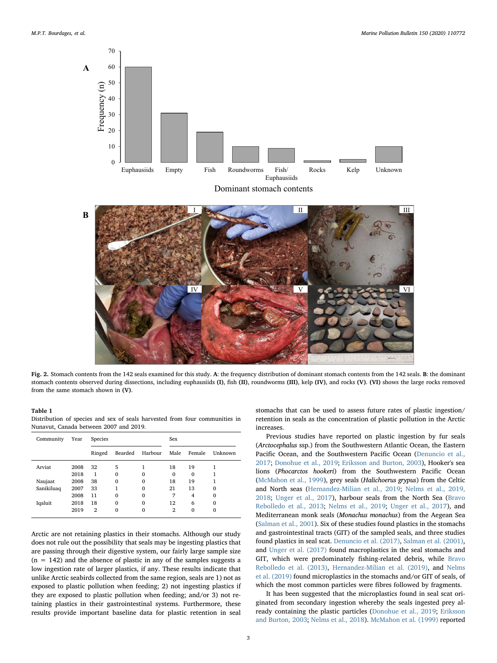<span id="page-2-1"></span>



Fig. 2. Stomach contents from the 142 seals examined for this study. A: the frequency distribution of dominant stomach contents from the 142 seals. B: the dominant stomach contents observed during dissections, including euphausiids (I), fish (II), roundworms (III), kelp (IV), and rocks (V). (VI) shows the large rocks removed from the same stomach shown in (V).

### <span id="page-2-0"></span>Table 1

Distribution of species and sex of seals harvested from four communities in Nunavut, Canada between 2007 and 2019.

| Community  | Year | Species        |              |             | Sex            |                |          |
|------------|------|----------------|--------------|-------------|----------------|----------------|----------|
|            |      | Ringed         | Bearded      | Harbour     | Male           | Female         | Unknown  |
| Arviat     | 2008 | 32             | 5            |             | 18             | 19             |          |
|            | 2018 | 1              | $\mathbf{0}$ | 0           | $\mathbf 0$    | $\Omega$       |          |
| Naujaat    | 2008 | 38             | 0            | $\Omega$    | 18             | 19             |          |
| Sanikiluaq | 2007 | 33             | 1            | $\Omega$    | 21             | 13             | $\Omega$ |
|            | 2008 | 11             | $\mathbf 0$  | $\mathbf 0$ | 7              | $\overline{4}$ | $\Omega$ |
| Iqaluit    | 2018 | 18             | 0            | $\mathbf 0$ | 12             | 6              | 0        |
|            | 2019 | $\overline{2}$ | $\Omega$     | 0           | $\overline{2}$ | $\Omega$       | 0        |

Arctic are not retaining plastics in their stomachs. Although our study does not rule out the possibility that seals may be ingesting plastics that are passing through their digestive system, our fairly large sample size  $(n = 142)$  and the absence of plastic in any of the samples suggests a low ingestion rate of larger plastics, if any. These results indicate that unlike Arctic seabirds collected from the same region, seals are 1) not as exposed to plastic pollution when feeding; 2) not ingesting plastics if they are exposed to plastic pollution when feeding; and/or 3) not retaining plastics in their gastrointestinal systems. Furthermore, these results provide important baseline data for plastic retention in seal

stomachs that can be used to assess future rates of plastic ingestion/ retention in seals as the concentration of plastic pollution in the Arctic increases.

Previous studies have reported on plastic ingestion by fur seals (Arctocephalus ssp.) from the Southwestern Atlantic Ocean, the Eastern Pacific Ocean, and the Southwestern Pacific Ocean ([Denuncio et al.,](#page-3-5) [2017;](#page-3-5) [Donohue et al., 2019](#page-3-6); [Eriksson and Burton, 2003](#page-3-7)), Hooker's sea lions (Phocarctos hookeri) from the Southwestern Pacific Ocean ([McMahon et al., 1999\)](#page-4-9), grey seals (Halichoerus grypus) from the Celtic and North seas [\(Hernandez-Milian et al., 2019](#page-3-8); [Nelms et al., 2019,](#page-4-10) [2018;](#page-4-10) [Unger et al., 2017](#page-4-11)), harbour seals from the North Sea [\(Bravo](#page-3-9) [Rebolledo et al., 2013](#page-3-9); [Nelms et al., 2019](#page-4-10); [Unger et al., 2017\)](#page-4-11), and Mediterranean monk seals (Monachus monachus) from the Aegean Sea ([Salman et al., 2001\)](#page-4-12). Six of these studies found plastics in the stomachs and gastrointestinal tracts (GIT) of the sampled seals, and three studies found plastics in seal scat. [Denuncio et al. \(2017\)](#page-3-5), [Salman et al. \(2001\)](#page-4-12), and [Unger et al. \(2017\)](#page-4-11) found macroplastics in the seal stomachs and GIT, which were predominately fishing-related debris, while [Bravo](#page-3-9) [Rebolledo et al. \(2013\),](#page-3-9) [Hernandez-Milian et al. \(2019\),](#page-3-8) and [Nelms](#page-4-10) [et al. \(2019\)](#page-4-10) found microplastics in the stomachs and/or GIT of seals, of which the most common particles were fibres followed by fragments.

It has been suggested that the microplastics found in seal scat originated from secondary ingestion whereby the seals ingested prey already containing the plastic particles [\(Donohue et al., 2019;](#page-3-6) [Eriksson](#page-3-7) [and Burton, 2003](#page-3-7); [Nelms et al., 2018\)](#page-4-13). [McMahon et al. \(1999\)](#page-4-9) reported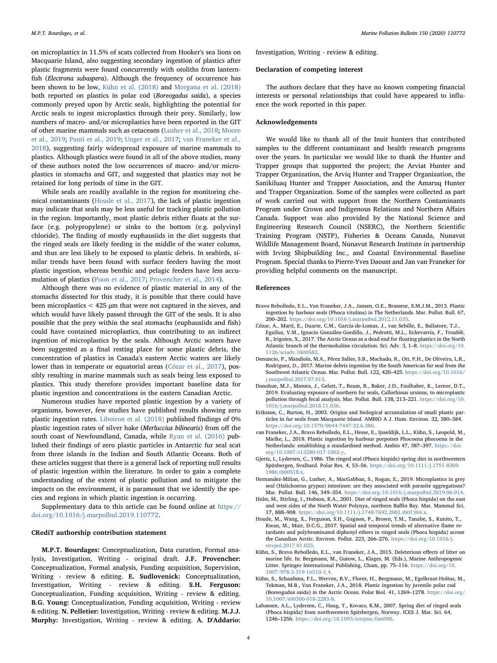Investigation, Writing - review & editing.

#### Declaration of competing interest

The authors declare that they have no known competing financial interests or personal relationships that could have appeared to influence the work reported in this paper.

### Acknowledgements

We would like to thank all of the Inuit hunters that contributed samples to the different contaminant and health research programs over the years. In particular we would like to thank the Hunter and Trapper groups that supported the project; the Arviat Hunter and Trapper Organization, the Arviq Hunter and Trapper Organization, the Sanikiluaq Hunter and Trapper Association, and the Amaruq Hunter and Trapper Organization. Some of the samples were collected as part of work carried out with support from the Northern Contaminants Program under Crown and Indigenous Relations and Northern Affairs Canada. Support was also provided by the National Science and Engineering Research Council (NSERC), the Northern Scientific Training Program (NSTP), Fisheries & Oceans Canada, Nunavut Wildlife Management Board, Nunavut Research Institute in partnership with Irving Shipbuilding Inc., and Coastal Environmental Baseline Program. Special thanks to Pierre-Yves Daoust and Jan van Franeker for providing helpful comments on the manuscript.

#### References

- <span id="page-3-9"></span>Bravo Rebolledo, E.L., Van Franeker, J.A., Jansen, O.E., Brasseur, S.M.J.M., 2013. Plastic ingestion by harbour seals (Phoca vitulina) in The Netherlands. Mar. Pollut. Bull. 67, 200–202. <https://doi.org/10.1016/j.marpolbul.2012.11.035>.
- <span id="page-3-1"></span>Cózar, A., Martí, E., Duarte, C.M., García-de-Lomas, J., van Sebille, E., Ballatore, T.J., Eguíluz, V.M., Ignacio González-Gordillo, J., Pedrotti, M.L., Echevarría, F., Troublè, R., Irigoien, X., 2017. The Arctic Ocean as a dead end for floating plastics in the North Atlantic branch of the thermohaline circulation. Sci. Adv. 3, 1–8. [https://doi.org/10.](https://doi.org/10.1126/sciadv.1600582) [1126/sciadv.1600582.](https://doi.org/10.1126/sciadv.1600582)
- <span id="page-3-5"></span>Denuncio, P., Mandiola, M.A., Pérez Salles, S.B., Machado, R., Ott, P.H., De Oliveira, L.R., Rodriguez, D., 2017. Marine debris ingestion by the South American fur seal from the Southwest Atlantic Ocean. Mar. Pollut. Bull. 122, 420–425. [https://doi.org/10.1016/](https://doi.org/10.1016/j.marpolbul.2017.07.013) [j.marpolbul.2017.07.013](https://doi.org/10.1016/j.marpolbul.2017.07.013).
- <span id="page-3-6"></span>Donohue, M.J., Masura, J., Gelatt, T., Ream, R., Baker, J.D., Faulhaber, K., Lerner, D.T., 2019. Evaluating exposure of northern fur seals, Callorhinus ursinus, to microplastic pollution through fecal analysis. Mar. Pollut. Bull. 138, 213–221. [https://doi.org/10.](https://doi.org/10.1016/j.marpolbul.2018.11.036) [1016/j.marpolbul.2018.11.036](https://doi.org/10.1016/j.marpolbul.2018.11.036).
- <span id="page-3-7"></span>Eriksson, C., Burton, H., 2003. Origins and biological accumulation of small plastic particles in fur seals from Macquarie Island. AMBIO A J. Hum. Environ. 32, 380–384. <https://doi.org/10.1579/0044-7447-32.6.380>.
- <span id="page-3-11"></span>van Franeker, J.A., Bravo Rebolledo, E.L., Hesse, E., Ijsseldijk, L.L., Kühn, S., Leopold, M., Mielke, L., 2018. Plastic ingestion by harbour porpoises Phocoena phocoena in the Netherlands: establishing a standardised method. Ambio 47, 387–397. [https://doi.](https://doi.org/10.1007/s13280-017-1002-y) [org/10.1007/s13280-017-1002-y.](https://doi.org/10.1007/s13280-017-1002-y)
- <span id="page-3-2"></span>Gjertz, I., Lydersen, C., 1986. The ringed seal (Phoca hispida) spring diet in northwestern Spitsbergen, Svalbard. Polar Res. 4, 53–56. [https://doi.org/10.1111/j.1751-8369.](https://doi.org/10.1111/j.1751-8369.1986.tb00518.x) [1986.tb00518.x](https://doi.org/10.1111/j.1751-8369.1986.tb00518.x).
- <span id="page-3-8"></span>Hernandez-Milian, G., Lusher, A., MacGabban, S., Rogan, E., 2019. Microplastics in grey seal (Halichoerus grypus) intestines: are they associated with parasite aggregations? Mar. Pollut. Bull. 146, 349–354. <https://doi.org/10.1016/j.marpolbul.2019.06.014>.
- <span id="page-3-3"></span>Holst, M., Stirling, I., Hobson, K.A., 2001. Diet of ringed seals (Phoca hispida) on the east and west sides of the North Water Polynya, northern Baffin Bay. Mar. Mammal Sci. 17, 888–908. <https://doi.org/10.1111/j.1748-7692.2001.tb01304.x>.
- <span id="page-3-12"></span>Houde, M., Wang, X., Ferguson, S.H., Gagnon, P., Brown, T.M., Tanabe, S., Kunito, T., Kwan, M., Muir, D.C.G., 2017. Spatial and temporal trends of alternative flame retardants and polybrominated diphenyl ethers in ringed seals (Phoca hispida) across the Canadian Arctic. Environ. Pollut. 223, 266–276. [https://doi.org/10.1016/j.](https://doi.org/10.1016/j.envpol.2017.01.023) [envpol.2017.01.023](https://doi.org/10.1016/j.envpol.2017.01.023).
- <span id="page-3-0"></span>Kühn, S., Bravo Rebolledo, E.L., van Franeker, J.A., 2015. Deleterious effects of litter on marine life. In: Bergmann, M., Gutow, L., Klages, M. (Eds.), Marine Anthropogenic Litter. Springer International Publishing, Cham, pp. 75–116. [https://doi.org/10.](https://doi.org/10.1007/978-3-319-16510-3_4) [1007/978-3-319-16510-3\\_4.](https://doi.org/10.1007/978-3-319-16510-3_4)
- <span id="page-3-10"></span>Kühn, S., Schaafsma, F.L., Werven, B.V., Flores, H., Bergmann, M., Egelkraut-Holtus, M., Tekman, M.B., Van Franeker, J.A., 2018. Plastic ingestion by juvenile polar cod (Boreogadus saida) in the Arctic Ocean. Polar Biol. 41, 1269–1278. [https://doi.org/](https://doi.org/10.1007/s00300-018-2283-8) [10.1007/s00300-018-2283-8](https://doi.org/10.1007/s00300-018-2283-8).
- <span id="page-3-4"></span>Labansen, A.L., Lydersen, C., Haug, T., Kovacs, K.M., 2007. Spring diet of ringed seals (Phoca hispida) from northwestern Spitsbergen, Norway. ICES J. Mar. Sci. 64, 1246–1256. <https://doi.org/10.1093/icesjms/fsm090>.

on microplastics in 11.5% of scats collected from Hooker's sea lions on Macquarie Island, also suggesting secondary ingestion of plastics after plastic fragments were found concurrently with otoliths from lanternfish (Electrona subaspera). Although the frequency of occurrence has been shown to be low, [Kühn et al. \(2018\)](#page-3-10) and [Morgana et al. \(2018\)](#page-4-14) both reported on plastics in polar cod (Boreogadus saida), a species commonly preyed upon by Arctic seals, highlighting the potential for Arctic seals to ingest microplastics through their prey. Similarly, low numbers of macro- and/or microplastics have been reported in the GIT of other marine mammals such as cetaceans [\(Lusher et al., 2018;](#page-4-15) [Moore](#page-4-16) [et al., 2019](#page-4-16); [Panti et al., 2019;](#page-4-17) [Unger et al., 2017](#page-4-11); [van Franeker et al.,](#page-3-11) [2018\)](#page-3-11), suggesting fairly widespread exposure of marine mammals to plastics. Although plastics were found in all of the above studies, many of these authors noted the low occurrences of macro- and/or microplastics in stomachs and GIT, and suggested that plastics may not be retained for long periods of time in the GIT.

While seals are readily available in the region for monitoring chemical contaminants [\(Houde et al., 2017\)](#page-3-12), the lack of plastic ingestion may indicate that seals may be less useful for tracking plastic pollution in the region. Importantly, most plastic debris either floats at the surface (e.g. polypropylene) or sinks to the bottom (e.g. polyvinyl chloride). The finding of mostly euphausiids in the diet suggests that the ringed seals are likely feeding in the middle of the water column, and thus are less likely to be exposed to plastic debris. In seabirds, similar trends have been found with surface feeders having the most plastic ingestion, whereas benthic and pelagic feeders have less accumulation of plastics [\(Poon et al., 2017;](#page-4-18) [Provencher et al., 2014\)](#page-4-19).

Although there was no evidence of plastic material in any of the stomachs dissected for this study, it is possible that there could have been microplastics < 425 μm that were not captured in the sieves, and which would have likely passed through the GIT of the seals. It is also possible that the prey within the seal stomachs (euphausiids and fish) could have contained microplastics, thus contributing to an indirect ingestion of microplastics by the seals. Although Arctic waters have been suggested as a final resting place for some plastic debris, the concentration of plastics in Canada's eastern Arctic waters are likely lower than in temperate or equatorial areas [\(Cózar et al., 2017\)](#page-3-1), possibly resulting in marine mammals such as seals being less exposed to plastics. This study therefore provides important baseline data for plastic ingestion and concentrations in the eastern Canadian Arctic.

Numerous studies have reported plastic ingestion by a variety of organisms, however, few studies have published results showing zero plastic ingestion rates. [Liboiron et al. \(2018\)](#page-4-20) published findings of 0% plastic ingestion rates of silver hake (Merluccius bilinearis) from off the south coast of Newfoundland, Canada, while [Ryan et al. \(2016\)](#page-4-21) published their findings of zero plastic particles in Antarctic fur seal scat from three islands in the Indian and South Atlantic Oceans. Both of these articles suggest that there is a general lack of reporting null results of plastic ingestion within the literature. In order to gain a complete understanding of the extent of plastic pollution and to mitigate the impacts on the environment, it is paramount that we identify the species and regions in which plastic ingestion is occurring.

Supplementary data to this article can be found online at [https://](https://doi.org/10.1016/j.marpolbul.2019.110772) [doi.org/10.1016/j.marpolbul.2019.110772](https://doi.org/10.1016/j.marpolbul.2019.110772).

## CRediT authorship contribution statement

M.P.T. Bourdages: Conceptualization, Data curation, Formal analysis, Investigation, Writing - original draft. J.F. Provencher: Conceptualization, Formal analysis, Funding acquisition, Supervision, Writing - review & editing. E. Sudlovenick: Conceptualization, Investigation, Writing - review & editing. S.H. Ferguson: Conceptualization, Funding acquisition, Writing - review & editing. B.G. Young: Conceptualization, Funding acquisition, Writing - review & editing. N. Pelletier: Investigation, Writing - review & editing. M.J.J. Murphy: Investigation, Writing - review & editing. A. D'Addario: